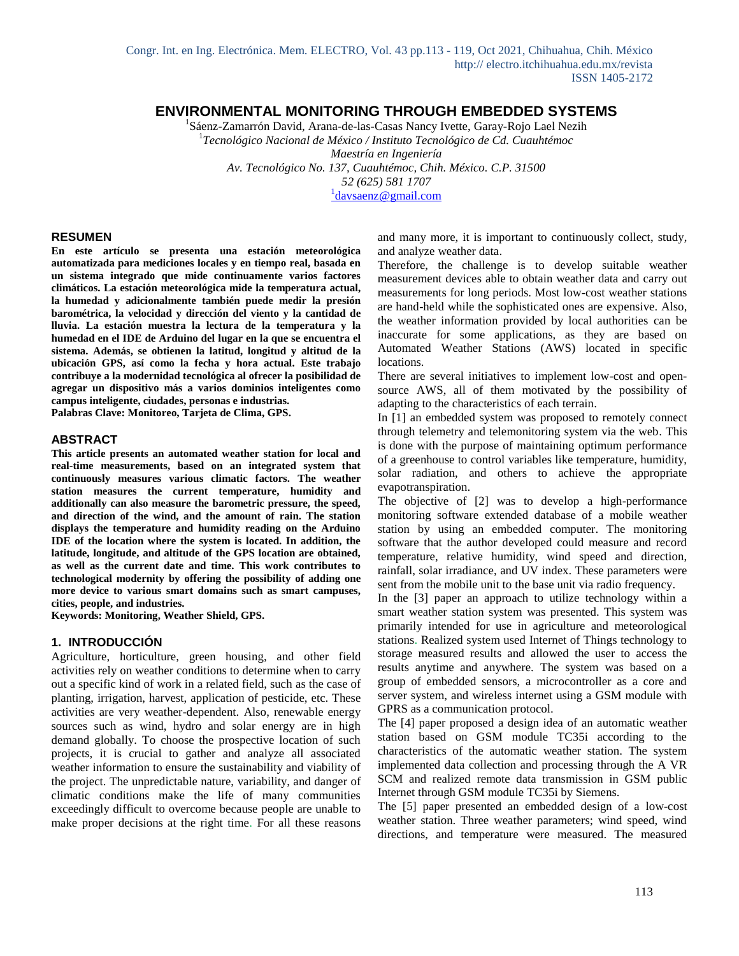# **ENVIRONMENTAL MONITORING THROUGH EMBEDDED SYSTEMS**

<sup>1</sup>Sáenz-Zamarrón David, Arana-de-las-Casas Nancy Ivette, Garay-Rojo Lael Nezih 1 *Tecnológico Nacional de México / Instituto Tecnológico de Cd. Cuauhtémoc Maestría en Ingeniería Av. Tecnológico No. 137, Cuauhtémoc, Chih. México. C.P. 31500 52 (625) 581 1707* <sup>1</sup> [davsaenz@gmail.com](about:blank)

#### **RESUMEN**

**En este artículo se presenta una estación meteorológica automatizada para mediciones locales y en tiempo real, basada en un sistema integrado que mide continuamente varios factores climáticos. La estación meteorológica mide la temperatura actual, la humedad y adicionalmente también puede medir la presión barométrica, la velocidad y dirección del viento y la cantidad de lluvia. La estación muestra la lectura de la temperatura y la humedad en el IDE de Arduino del lugar en la que se encuentra el sistema. Además, se obtienen la latitud, longitud y altitud de la ubicación GPS, así como la fecha y hora actual. Este trabajo contribuye a la modernidad tecnológica al ofrecer la posibilidad de agregar un dispositivo más a varios dominios inteligentes como campus inteligente, ciudades, personas e industrias. Palabras Clave: Monitoreo, Tarjeta de Clima, GPS.**

**ABSTRACT**

**This article presents an automated weather station for local and real-time measurements, based on an integrated system that continuously measures various climatic factors. The weather station measures the current temperature, humidity and additionally can also measure the barometric pressure, the speed, and direction of the wind, and the amount of rain. The station displays the temperature and humidity reading on the Arduino IDE of the location where the system is located. In addition, the latitude, longitude, and altitude of the GPS location are obtained, as well as the current date and time. This work contributes to technological modernity by offering the possibility of adding one more device to various smart domains such as smart campuses, cities, people, and industries.**

**Keywords: Monitoring, Weather Shield, GPS.**

#### **1. INTRODUCCIÓN**

Agriculture, horticulture, green housing, and other field activities rely on weather conditions to determine when to carry out a specific kind of work in a related field, such as the case of planting, irrigation, harvest, application of pesticide, etc. These activities are very weather-dependent. Also, renewable energy sources such as wind, hydro and solar energy are in high demand globally. To choose the prospective location of such projects, it is crucial to gather and analyze all associated weather information to ensure the sustainability and viability of the project. The unpredictable nature, variability, and danger of climatic conditions make the life of many communities exceedingly difficult to overcome because people are unable to make proper decisions at the right time. For all these reasons and many more, it is important to continuously collect, study, and analyze weather data.

Therefore, the challenge is to develop suitable weather measurement devices able to obtain weather data and carry out measurements for long periods. Most low-cost weather stations are hand-held while the sophisticated ones are expensive. Also, the weather information provided by local authorities can be inaccurate for some applications, as they are based on Automated Weather Stations (AWS) located in specific locations.

There are several initiatives to implement low-cost and opensource AWS, all of them motivated by the possibility of adapting to the characteristics of each terrain.

In [1] an embedded system was proposed to remotely connect through telemetry and telemonitoring system via the web. This is done with the purpose of maintaining optimum performance of a greenhouse to control variables like temperature, humidity, solar radiation, and others to achieve the appropriate evapotranspiration.

The objective of [2] was to develop a high-performance monitoring software extended database of a mobile weather station by using an embedded computer. The monitoring software that the author developed could measure and record temperature, relative humidity, wind speed and direction, rainfall, solar irradiance, and UV index. These parameters were sent from the mobile unit to the base unit via radio frequency.

In the [3] paper an approach to utilize technology within a smart weather station system was presented. This system was primarily intended for use in agriculture and meteorological stations. Realized system used Internet of Things technology to storage measured results and allowed the user to access the results anytime and anywhere. The system was based on a group of embedded sensors, a microcontroller as a core and server system, and wireless internet using a GSM module with GPRS as a communication protocol.

The [4] paper proposed a design idea of an automatic weather station based on GSM module TC35i according to the characteristics of the automatic weather station. The system implemented data collection and processing through the A VR SCM and realized remote data transmission in GSM public Internet through GSM module TC35i by Siemens.

The [5] paper presented an embedded design of a low-cost weather station. Three weather parameters; wind speed, wind directions, and temperature were measured. The measured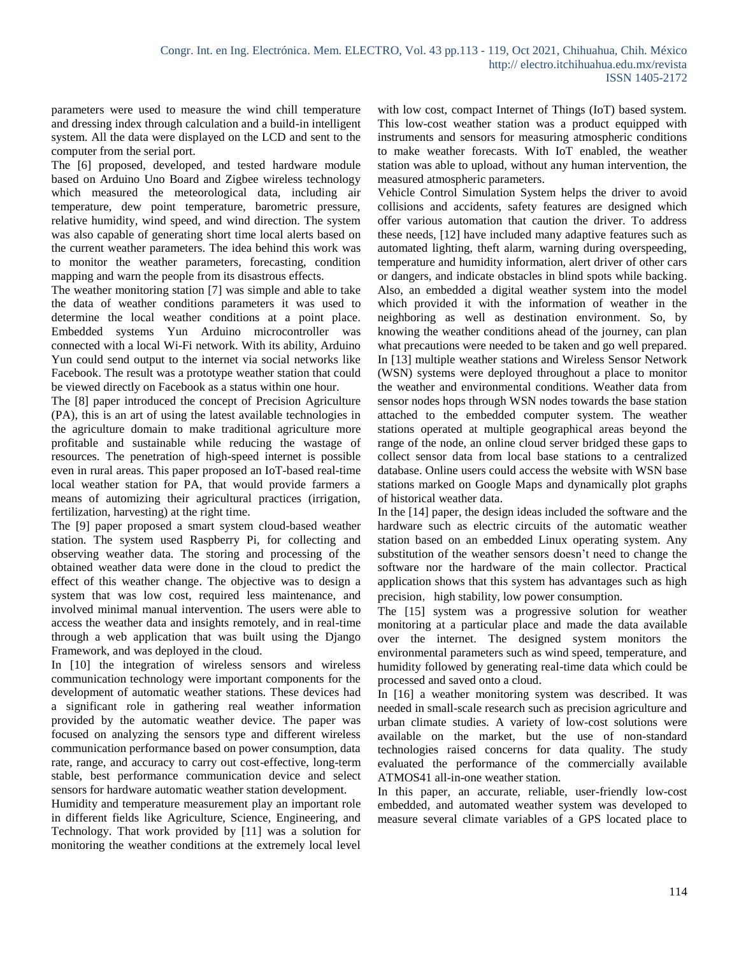parameters were used to measure the wind chill temperature and dressing index through calculation and a build-in intelligent system. All the data were displayed on the LCD and sent to the computer from the serial port.

The [6] proposed, developed, and tested hardware module based on Arduino Uno Board and Zigbee wireless technology which measured the meteorological data, including air temperature, dew point temperature, barometric pressure, relative humidity, wind speed, and wind direction. The system was also capable of generating short time local alerts based on the current weather parameters. The idea behind this work was to monitor the weather parameters, forecasting, condition mapping and warn the people from its disastrous effects.

The weather monitoring station [7] was simple and able to take the data of weather conditions parameters it was used to determine the local weather conditions at a point place. Embedded systems Yun Arduino microcontroller was connected with a local Wi-Fi network. With its ability, Arduino Yun could send output to the internet via social networks like Facebook. The result was a prototype weather station that could be viewed directly on Facebook as a status within one hour.

The [8] paper introduced the concept of Precision Agriculture (PA), this is an art of using the latest available technologies in the agriculture domain to make traditional agriculture more profitable and sustainable while reducing the wastage of resources. The penetration of high-speed internet is possible even in rural areas. This paper proposed an IoT-based real-time local weather station for PA, that would provide farmers a means of automizing their agricultural practices (irrigation, fertilization, harvesting) at the right time.

The [9] paper proposed a smart system cloud-based weather station. The system used Raspberry Pi, for collecting and observing weather data. The storing and processing of the obtained weather data were done in the cloud to predict the effect of this weather change. The objective was to design a system that was low cost, required less maintenance, and involved minimal manual intervention. The users were able to access the weather data and insights remotely, and in real-time through a web application that was built using the Django Framework, and was deployed in the cloud.

In [10] the integration of wireless sensors and wireless communication technology were important components for the development of automatic weather stations. These devices had a significant role in gathering real weather information provided by the automatic weather device. The paper was focused on analyzing the sensors type and different wireless communication performance based on power consumption, data rate, range, and accuracy to carry out cost-effective, long-term stable, best performance communication device and select sensors for hardware automatic weather station development.

Humidity and temperature measurement play an important role in different fields like Agriculture, Science, Engineering, and Technology. That work provided by [11] was a solution for monitoring the weather conditions at the extremely local level with low cost, compact Internet of Things (IoT) based system. This low-cost weather station was a product equipped with instruments and sensors for measuring atmospheric conditions to make weather forecasts. With IoT enabled, the weather station was able to upload, without any human intervention, the measured atmospheric parameters.

Vehicle Control Simulation System helps the driver to avoid collisions and accidents, safety features are designed which offer various automation that caution the driver. To address these needs, [12] have included many adaptive features such as automated lighting, theft alarm, warning during overspeeding, temperature and humidity information, alert driver of other cars or dangers, and indicate obstacles in blind spots while backing. Also, an embedded a digital weather system into the model which provided it with the information of weather in the neighboring as well as destination environment. So, by knowing the weather conditions ahead of the journey, can plan what precautions were needed to be taken and go well prepared. In [13] multiple weather stations and Wireless Sensor Network (WSN) systems were deployed throughout a place to monitor the weather and environmental conditions. Weather data from sensor nodes hops through WSN nodes towards the base station attached to the embedded computer system. The weather stations operated at multiple geographical areas beyond the range of the node, an online cloud server bridged these gaps to collect sensor data from local base stations to a centralized database. Online users could access the website with WSN base stations marked on Google Maps and dynamically plot graphs of historical weather data.

In the [14] paper, the design ideas included the software and the hardware such as electric circuits of the automatic weather station based on an embedded Linux operating system. Any substitution of the weather sensors doesn't need to change the software nor the hardware of the main collector. Practical application shows that this system has advantages such as high precision, high stability, low power consumption.

The [15] system was a progressive solution for weather monitoring at a particular place and made the data available over the internet. The designed system monitors the environmental parameters such as wind speed, temperature, and humidity followed by generating real-time data which could be processed and saved onto a cloud.

In [16] a weather monitoring system was described. It was needed in small-scale research such as precision agriculture and urban climate studies. A variety of low-cost solutions were available on the market, but the use of non-standard technologies raised concerns for data quality. The study evaluated the performance of the commercially available ATMOS41 all-in-one weather station.

In this paper, an accurate, reliable, user-friendly low-cost embedded, and automated weather system was developed to measure several climate variables of a GPS located place to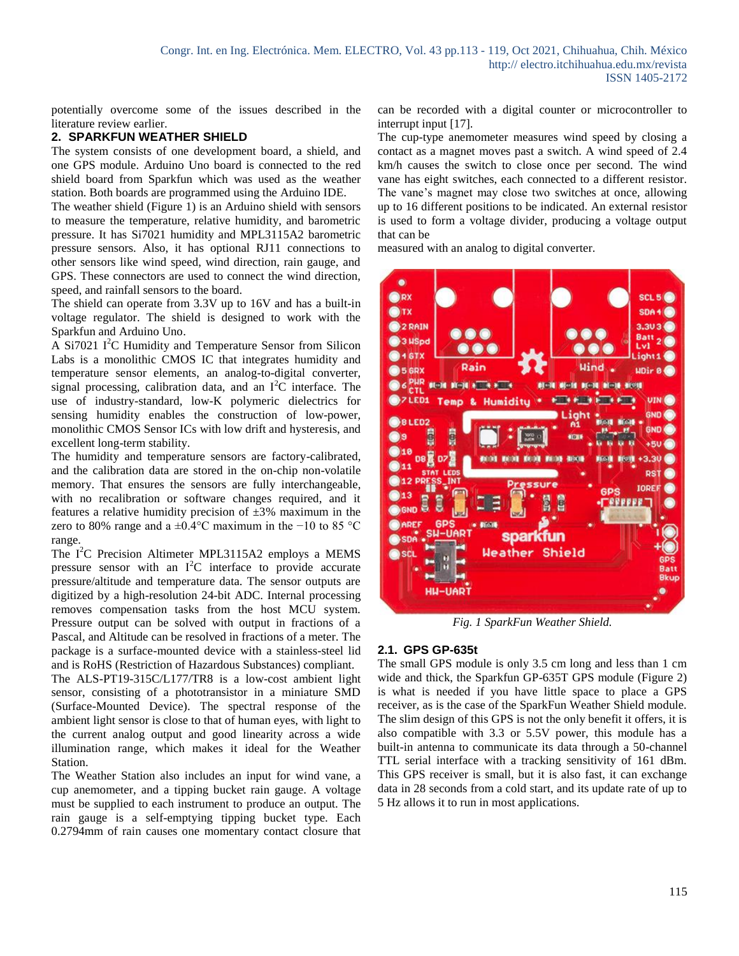potentially overcome some of the issues described in the literature review earlier.

### **2. SPARKFUN WEATHER SHIELD**

The system consists of one development board, a shield, and one GPS module. Arduino Uno board is connected to the red shield board from Sparkfun which was used as the weather station. Both boards are programmed using the Arduino IDE.

The weather shield (Figure 1) is an Arduino shield with sensors to measure the temperature, relative humidity, and barometric pressure. It has Si7021 humidity and MPL3115A2 barometric pressure sensors. Also, it has optional RJ11 connections to other sensors like wind speed, wind direction, rain gauge, and GPS. These connectors are used to connect the wind direction, speed, and rainfall sensors to the board.

The shield can operate from 3.3V up to 16V and has a built-in voltage regulator. The shield is designed to work with the Sparkfun and Arduino Uno.

A Si7021  $I^2C$  Humidity and Temperature Sensor from Silicon Labs is a monolithic CMOS IC that integrates humidity and temperature sensor elements, an analog-to-digital converter, signal processing, calibration data, and an  $I^2C$  interface. The use of industry-standard, low-K polymeric dielectrics for sensing humidity enables the construction of low-power, monolithic CMOS Sensor ICs with low drift and hysteresis, and excellent long-term stability.

The humidity and temperature sensors are factory-calibrated, and the calibration data are stored in the on-chip non-volatile memory. That ensures the sensors are fully interchangeable, with no recalibration or software changes required, and it features a relative humidity precision of  $\pm 3\%$  maximum in the zero to 80% range and a ±0.4°C maximum in the −10 to 85 °C range.

The  $I^2C$  Precision Altimeter MPL3115A2 employs a MEMS pressure sensor with an  $I^2C$  interface to provide accurate pressure/altitude and temperature data. The sensor outputs are digitized by a high-resolution 24-bit ADC. Internal processing removes compensation tasks from the host MCU system. Pressure output can be solved with output in fractions of a Pascal, and Altitude can be resolved in fractions of a meter. The package is a surface-mounted device with a stainless-steel lid and is RoHS (Restriction of Hazardous Substances) compliant.

The ALS-PT19-315C/L177/TR8 is a low-cost ambient light sensor, consisting of a phototransistor in a miniature SMD (Surface-Mounted Device). The spectral response of the ambient light sensor is close to that of human eyes, with light to the current analog output and good linearity across a wide illumination range, which makes it ideal for the Weather Station.

The Weather Station also includes an input for wind vane, a cup anemometer, and a tipping bucket rain gauge. A voltage must be supplied to each instrument to produce an output. The rain gauge is a self-emptying tipping bucket type. Each 0.2794mm of rain causes one momentary contact closure that can be recorded with a digital counter or microcontroller to interrupt input [17].

The cup-type anemometer measures wind speed by closing a contact as a magnet moves past a switch. A wind speed of 2.4 km/h causes the switch to close once per second. The wind vane has eight switches, each connected to a different resistor. The vane's magnet may close two switches at once, allowing up to 16 different positions to be indicated. An external resistor is used to form a voltage divider, producing a voltage output that can be

measured with an analog to digital converter.



*Fig. 1 SparkFun Weather Shield.*

## **2.1. GPS GP-635t**

The small GPS module is only 3.5 cm long and less than 1 cm wide and thick, the Sparkfun GP-635T GPS module (Figure 2) is what is needed if you have little space to place a GPS receiver, as is the case of the SparkFun Weather Shield module. The slim design of this GPS is not the only benefit it offers, it is also compatible with 3.3 or 5.5V power, this module has a built-in antenna to communicate its data through a 50-channel TTL serial interface with a tracking sensitivity of 161 dBm. This GPS receiver is small, but it is also fast, it can exchange data in 28 seconds from a cold start, and its update rate of up to 5 Hz allows it to run in most applications.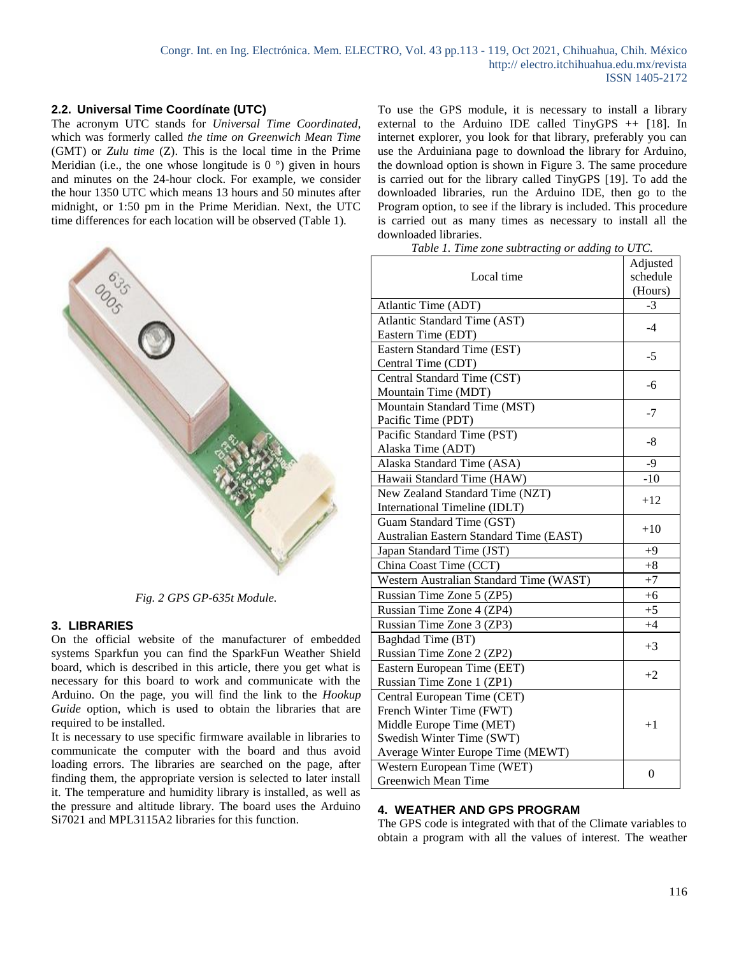## **2.2. Universal Time Coordínate (UTC)**

The acronym UTC stands for *Universal Time Coordinated*, which was formerly called *the time on Greenwich Mean Time* (GMT) or *Zulu time* (Z). This is the local time in the Prime Meridian (i.e., the one whose longitude is  $0^{\circ}$ ) given in hours and minutes on the 24-hour clock. For example, we consider the hour 1350 UTC which means 13 hours and 50 minutes after midnight, or 1:50 pm in the Prime Meridian. Next, the UTC time differences for each location will be observed (Table 1).



*Fig. 2 GPS GP-635t Module.*

### **3. LIBRARIES**

On the official website of the manufacturer of embedded systems Sparkfun you can find the SparkFun Weather Shield board, which is described in this article, there you get what is necessary for this board to work and communicate with the Arduino. On the page, you will find the link to the *Hookup Guide* option, which is used to obtain the libraries that are required to be installed.

It is necessary to use specific firmware available in libraries to communicate the computer with the board and thus avoid loading errors. The libraries are searched on the page, after finding them, the appropriate version is selected to later install it. The temperature and humidity library is installed, as well as the pressure and altitude library. The board uses the Arduino Si7021 and MPL3115A2 libraries for this function.

To use the GPS module, it is necessary to install a library external to the Arduino IDE called TinyGPS ++ [18]. In internet explorer, you look for that library, preferably you can use the Arduiniana page to download the library for Arduino, the download option is shown in Figure 3. The same procedure is carried out for the library called TinyGPS [19]. To add the downloaded libraries, run the Arduino IDE, then go to the Program option, to see if the library is included. This procedure is carried out as many times as necessary to install all the downloaded libraries.

|  |  | Table 1. Time zone subtracting or adding to UTC. |  |  |
|--|--|--------------------------------------------------|--|--|
|--|--|--------------------------------------------------|--|--|

|                                         | Adjusted |
|-----------------------------------------|----------|
| Local time                              | schedule |
|                                         | (Hours)  |
| Atlantic Time (ADT)                     | $-3$     |
| Atlantic Standard Time (AST)            | $-4$     |
| Eastern Time (EDT)                      |          |
| Eastern Standard Time (EST)             | $-5$     |
| Central Time (CDT)                      |          |
| Central Standard Time (CST)             | $-6$     |
| Mountain Time (MDT)                     |          |
| Mountain Standard Time (MST)            | $-7$     |
| Pacific Time (PDT)                      |          |
| Pacific Standard Time (PST)             | -8       |
| Alaska Time (ADT)                       |          |
| Alaska Standard Time (ASA)              | $-9$     |
| Hawaii Standard Time (HAW)              | $-10$    |
| New Zealand Standard Time (NZT)         | $+12$    |
| International Timeline (IDLT)           |          |
| Guam Standard Time (GST)                | $+10$    |
| Australian Eastern Standard Time (EAST) |          |
| Japan Standard Time (JST)               | $+9$     |
| China Coast Time (CCT)                  | $+8$     |
| Western Australian Standard Time (WAST) | $+7$     |
| Russian Time Zone 5 (ZP5)               | $+6$     |
| Russian Time Zone 4 (ZP4)               | $+5$     |
| Russian Time Zone 3 (ZP3)               | $+4$     |
| Baghdad Time (BT)                       | $+3$     |
| Russian Time Zone 2 (ZP2)               |          |
| Eastern European Time (EET)             | $+2$     |
| Russian Time Zone 1 (ZP1)               |          |
| Central European Time (CET)             |          |
| French Winter Time (FWT)                |          |
| Middle Europe Time (MET)                | $+1$     |
| Swedish Winter Time (SWT)               |          |
| Average Winter Europe Time (MEWT)       |          |
| Western European Time (WET)             | 0        |
| Greenwich Mean Time                     |          |

### **4. WEATHER AND GPS PROGRAM**

The GPS code is integrated with that of the Climate variables to obtain a program with all the values of interest. The weather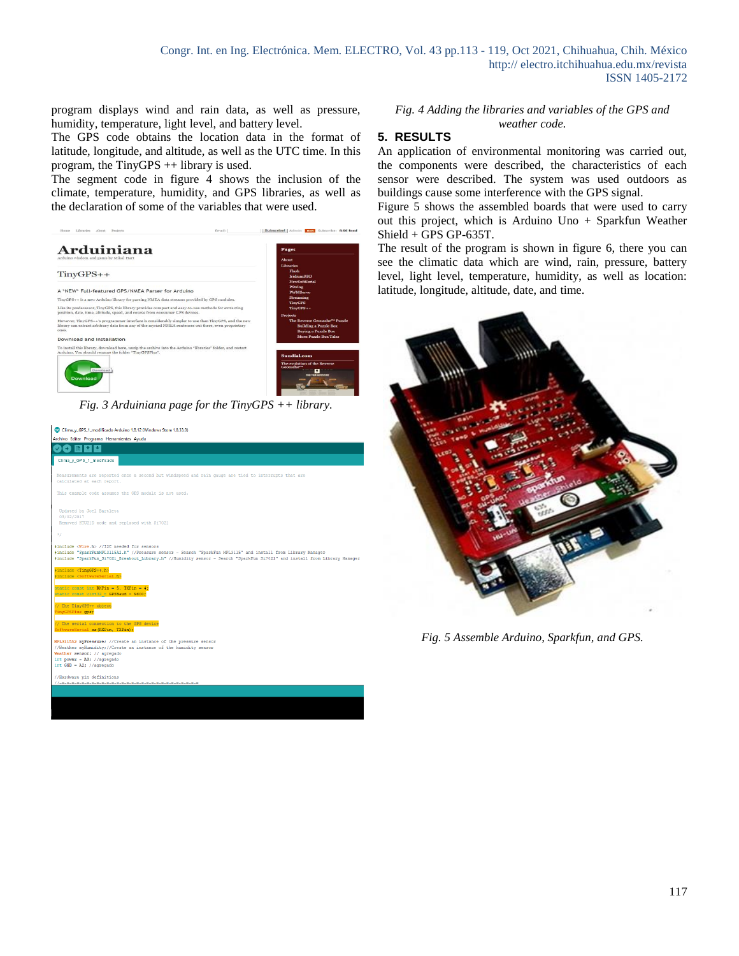program displays wind and rain data, as well as pressure, humidity, temperature, light level, and battery level.

The GPS code obtains the location data in the format of latitude, longitude, and altitude, as well as the UTC time. In this program, the TinyGPS ++ library is used.

The segment code in figure 4 shows the inclusion of the climate, temperature, humidity, and GPS libraries, as well as the declaration of some of the variables that were used.



Clima\_y\_GPS\_1\_modificado Arduino 1.8.12 (Windows Store 1.8.33.0)



*Fig. 4 Adding the libraries and variables of the GPS and weather code.*

#### **5. RESULTS**

An application of environmental monitoring was carried out, the components were described, the characteristics of each sensor were described. The system was used outdoors as buildings cause some interference with the GPS signal.

Figure 5 shows the assembled boards that were used to carry out this project, which is Arduino Uno + Sparkfun Weather Shield + GPS GP-635T.

The result of the program is shown in figure 6, there you can see the climatic data which are wind, rain, pressure, battery level, light level, temperature, humidity, as well as location: latitude, longitude, altitude, date, and time.



*Fig. 5 Assemble Arduino, Sparkfun, and GPS.*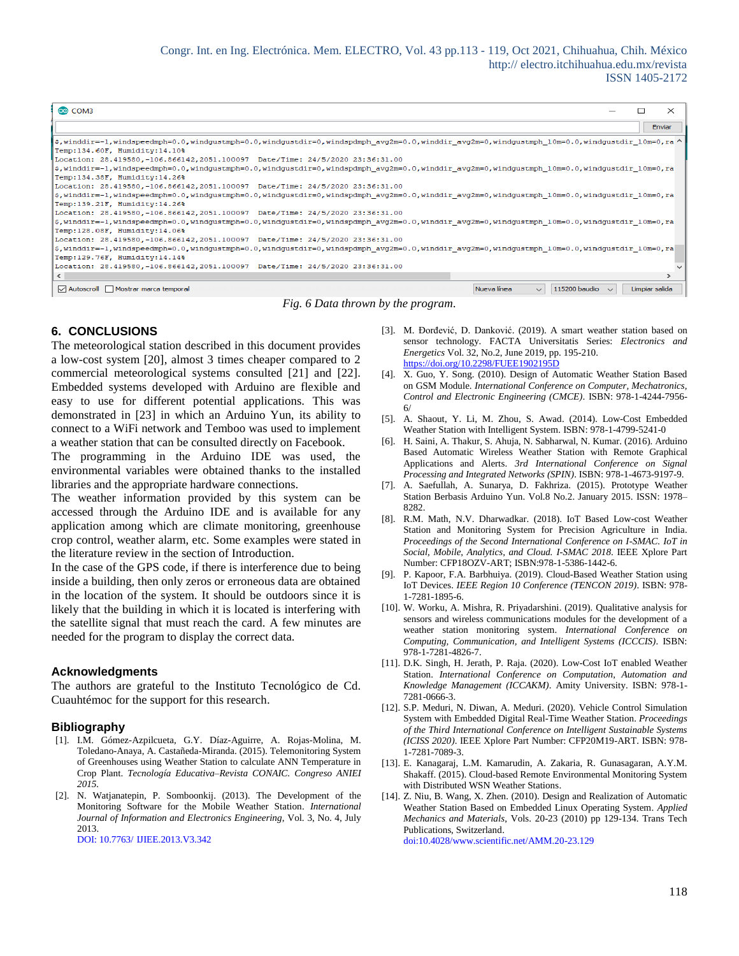| @ COM3                                                                                                                                                                                                                              |                | $\times$ |
|-------------------------------------------------------------------------------------------------------------------------------------------------------------------------------------------------------------------------------------|----------------|----------|
|                                                                                                                                                                                                                                     |                | Enviar   |
| \$, winddir=-1, windspeedmph=0.0, windgustmph=0.0, windgustdir=0, windspdmph avg2m=0.0, winddir avg2m=0, windgustmph $10m=0.0$ , windgustdir $10m=0.0$ , ra ^<br>Temp:134.60F, Humidity:14.10%                                      |                |          |
| Location: 28.419580,-106.866142,2051.100097 Date/Time: 24/5/2020 23:36:31.00                                                                                                                                                        |                |          |
| $ \xi$ , winddir=-1, windspeedmph=0.0, windgustmph=0.0, windgustdir=0, windspdmph avg2m=0.0, winddir avg2m=0, windgustmph $10$ m=0.0, windgustdir $10$ m=0, ra<br>Temp:134.38F, Humidity:14.26%                                     |                |          |
| Location: 28.419580,-106.866142,2051.100097 Date/Time: 24/5/2020 23:36:31.00                                                                                                                                                        |                |          |
| \$,winddir=-1,windspeedmph=0.0,windgustmph=0.0,windgustdir=0,windspdmph_avg2m=0.0,winddir_avg2m=0,windgustmph_10m=0.0,windgustdir_10m=0,ra<br>Temp:139.21F, Humidity:14.26%                                                         |                |          |
| Location: 28.419580,-106.866142,2051.100097 Date/Time: 24/5/2020 23:36:31.00<br>\$, winddir=-1, windspeedmph=0.0, windgustmph=0.0, windgustdir=0, windspdmph avg2m=0.0, winddir avg2m=0, windgustmph 10m=0.0, windgustdir 10m=0, ra |                |          |
| Temp:128.08F, Humidity:14.06%                                                                                                                                                                                                       |                |          |
| Location: 28.419580,-106.866142,2051.100097 Date/Time: 24/5/2020 23:36:31.00<br>\$, winddir=-1, windspeedmph=0.0, windgustmph=0.0, windgustdir=0, windspdmph avg2m=0.0, winddir avg2m=0, windgustmph 10m=0.0, windgustdir 10m=0, ra |                |          |
| Temp:129.76F, Humidity:14.14%                                                                                                                                                                                                       |                |          |
| Location: 28.419580,-106.866142,2051.100097 Date/Time: 24/5/2020 23:36:31.00                                                                                                                                                        |                |          |
| 115200 baudio<br>Autoscroll Mostrar marca temporal<br>Nueva línea<br>$\sim$                                                                                                                                                         | Limpiar salida |          |

*Fig. 6 Data thrown by the program.*

### **6. CONCLUSIONS**

The meteorological station described in this document provides a low-cost system [20], almost 3 times cheaper compared to 2 commercial meteorological systems consulted [21] and [22]. Embedded systems developed with Arduino are flexible and easy to use for different potential applications. This was demonstrated in [23] in which an Arduino Yun, its ability to connect to a WiFi network and Temboo was used to implement a weather station that can be consulted directly on Facebook.

The programming in the Arduino IDE was used, the environmental variables were obtained thanks to the installed libraries and the appropriate hardware connections.

The weather information provided by this system can be accessed through the Arduino IDE and is available for any application among which are climate monitoring, greenhouse crop control, weather alarm, etc. Some examples were stated in the literature review in the section of Introduction.

In the case of the GPS code, if there is interference due to being inside a building, then only zeros or erroneous data are obtained in the location of the system. It should be outdoors since it is likely that the building in which it is located is interfering with the satellite signal that must reach the card. A few minutes are needed for the program to display the correct data.

#### **Acknowledgments**

The authors are grateful to the Instituto Tecnológico de Cd. Cuauhtémoc for the support for this research.

### **Bibliography**

- [1]. I.M. Gómez-Azpilcueta, G.Y. Díaz-Aguirre, A. Rojas-Molina, M. Toledano-Anaya, A. Castañeda-Miranda. (2015). Telemonitoring System of Greenhouses using Weather Station to calculate ANN Temperature in Crop Plant. *Tecnología Educativa–Revista CONAIC. Congreso ANIEI 2015.*
- [2]. N. Watjanatepin, P. Somboonkij. (2013). The Development of the Monitoring Software for the Mobile Weather Station. *International Journal of Information and Electronics Engineering*, Vol. 3, No. 4, July 2013. DOI: 10.7763/ IJIEE.2013.V3.342

[3]. M. Đorđević, D. Danković. (2019). A smart weather station based on sensor technology. FACTA Universitatis Series: *Electronics and Energetics* Vol. 32, No.2, June 2019, pp. 195-210. https://doi.org/10.2298/FUEE1902195D

- [4]. X. Guo, Y. Song. (2010). Design of Automatic Weather Station Based on GSM Module. *International Conference on Computer, Mechatronics, Control and Electronic Engineering (CMCE)*. ISBN: 978-1-4244-7956- 6/
- [5]. A. Shaout, Y. Li, M. Zhou, S. Awad. (2014). Low-Cost Embedded Weather Station with Intelligent System. ISBN: 978-1-4799-5241-0
- [6]. H. Saini, A. Thakur, S. Ahuja, N. Sabharwal, N. Kumar. (2016). Arduino Based Automatic Wireless Weather Station with Remote Graphical Applications and Alerts. *3rd International Conference on Signal Processing and Integrated Networks (SPIN)*. ISBN: 978-1-4673-9197-9.
- [7]. A. Saefullah, A. Sunarya, D. Fakhriza. (2015). Prototype Weather Station Berbasis Arduino Yun. Vol.8 No.2. January 2015. ISSN: 1978– 8282.
- [8]. R.M. Math, N.V. Dharwadkar. (2018). IoT Based Low-cost Weather Station and Monitoring System for Precision Agriculture in India. *Proceedings of the Second International Conference on I-SMAC. IoT in Social, Mobile, Analytics, and Cloud. I-SMAC 2018*. IEEE Xplore Part Number: CFP18OZV-ART; ISBN:978-1-5386-1442-6.
- [9]. P. Kapoor, F.A. Barbhuiya. (2019). Cloud-Based Weather Station using IoT Devices. *IEEE Region 10 Conference (TENCON 2019)*. ISBN: 978- 1-7281-1895-6.
- [10]. W. Worku, A. Mishra, R. Priyadarshini. (2019). Qualitative analysis for sensors and wireless communications modules for the development of a weather station monitoring system. *International Conference on Computing, Communication, and Intelligent Systems (ICCCIS)*. ISBN: 978-1-7281-4826-7.
- [11]. D.K. Singh, H. Jerath, P. Raja. (2020). Low-Cost IoT enabled Weather Station. *International Conference on Computation, Automation and Knowledge Management (ICCAKM)*. Amity University. ISBN: 978-1- 7281-0666-3.
- [12]. S.P. Meduri, N. Diwan, A. Meduri. (2020). Vehicle Control Simulation System with Embedded Digital Real-Time Weather Station. *Proceedings of the Third International Conference on Intelligent Sustainable Systems (ICISS 2020)*. IEEE Xplore Part Number: CFP20M19-ART. ISBN: 978- 1-7281-7089-3.
- [13]. E. Kanagaraj, L.M. Kamarudin, A. Zakaria, R. Gunasagaran, A.Y.M. Shakaff. (2015). Cloud-based Remote Environmental Monitoring System with Distributed WSN Weather Stations.
- [14]. Z. Niu, B. Wang, X. Zhen. (2010). Design and Realization of Automatic Weather Station Based on Embedded Linux Operating System. *Applied Mechanics and Materials*, Vols. 20-23 (2010) pp 129-134. Trans Tech Publications, Switzerland. doi:10.4028/www.scientific.net/AMM.20-23.129